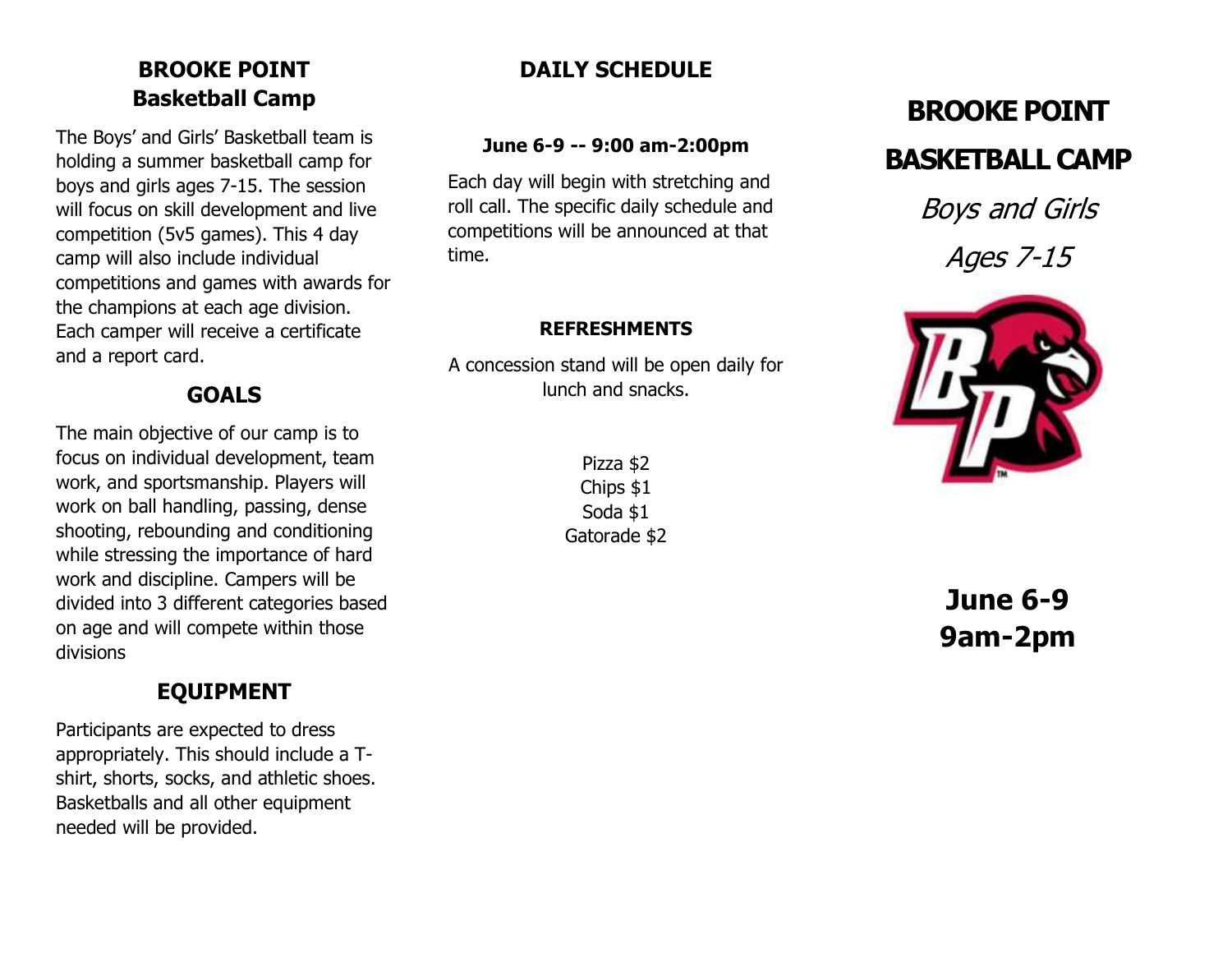## BROOKE POINT Basketball Camp

The Boys' and Girls' Basketball team is holding a summer basketball camp for boys and girls ages 7-15. The session will focus on skill development and live competition (5v5 games). This 4 day camp will also include individual competitions and games with awards for the champions at each age division. Each camper will receive a certificate and a report card.

## GOALS

The main objective of our camp is to focus on individual development, team work, and sportsmanship. Players will work on ball handling, passing, dense shooting, rebounding and conditioning while stressing the importance of hard work and discipline. Campers will be divided into 3 different categories based on age and will compete within those divisions

# EQUIPMENT

Participants are expected to dress appropriately. This should include a Tshirt, shorts, socks, and athletic shoes. Basketballs and all other equipment needed will be provided.

## DAILY SCHEDULE

#### June 6-9 -- 9:00 am-2:00pm

Each day will begin with stretching and roll call. The specific daily schedule and competitions will be announced at that time.

#### REFRESHMENTS

A concession stand will be open daily for lunch and snacks.

> Pizza \$2 Chips \$1 Soda \$1 Gatorade \$2

# BROOKE POINT BASKETBALL CAMP

Boys and Girls Ages 7-15



June 6-9 9am-2pm